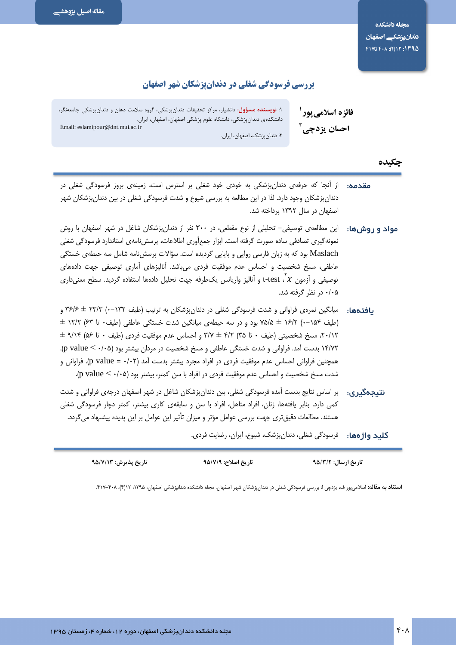## بررسی فرسودگی شغلی در دندانپزشکان شهر اصفهان

فائزه اسلامي يور ' احسان يزدچي آ

۱: **نویسنده مسؤول**: دانشیار، مرکز تحقیقات دندانپزشکی، گروه سلامت دهان و دندانپزشکی جامعهنگر، دانشکدهی دندانپزشکی، دانشگاه علوم پزشکی اصفهان، اصفهان، ایران. Email: eslamipour@dnt.mui.ac.ir ۲: دندان یزشک، اصفهان، ایران.

#### چکیده

- **مقدمه:** از آنجا که حرفهی دندانپزشکی به خودی خود شغلی پر استرس است، زمینهی بروز فرسودگی شغلی در دندان پزشکان وجود دارد. لذا در این مطالعه به بررسی شیوع و شدت فرسودگی شغلی در بین دندان پزشکان شهر اصفهان در سال ۱۳۹۲ پرداخته شد.
- **مواد و روشها:** این مطالعهی توصیفی– تحلیلی از نوع مقطعی، در ۳۰۰ نفر از دندانپزشکان شاغل در شهر اصفهان با روش نمونه گیری تصادفی ساده صورت گرفته است. ابزار جمع[وری اطلاعات، پرسش نامهی استاندارد فرسودگی شغلی Maslach بود که به زبان فارسی روایی و پایایی گردیده است. سؤالات پرسشiمه شامل سه حیطهی خستگی عاطفی، مسخ شخصیت و احساس عدم موفقیت فردی میباشد. آنالیزهای آماری توصیفی جهت دادههای توصيفي و أزمون x '، test-t و أناليز واريانس يكطرفه جهت تحليل دادهها استفاده گرديد. سطح معنىدارى ۰/۰۵ در نظر گرفته شد.
- یافتهها: میانگین نمرهی فراوانی و شدت فرسودگی شغلی در دندانپزشکان به ترتیب (طیف ۱۳۲–۰) ۳۶/۶ ± ۳۶/۶ و  $\pm$  ۱۶/۲ (--۱۵۴ -۰) ۷۵/۵ ± ۷۵/۵ بود و در سه حیطهی میانگین شدت خستگی عاطفی (طیف۰ تا ۶۳) ۱۲/۲  $\pm$ ۲۰/۱۲، مسخ شخصیته , (طیف ۰ تا ۳۵) ۳/۲ ± ۳/۲ و احساس عدم موفقیت فردی (طیف ۰ تا ۵۶) ۹/۱۴ ± ۱۴/۷۲ بدست آمد. فراوانی و شدت خستگی عاطفی و مسخ شخصیت در مردان بیشتر بود (p value < ۰/۰۵). همچنین فراوانی احساس عدم موفقیت فردی در افراد مجرد بیشتر بدست آمد (p value = ٠/٠٢). فراوانی و شدت مسخ شخصیت و احساس عدم موفقیت فردی در افراد با سن کمتر، بیشتر بود (p value <  $\cdot$ /۰۵).
- نتیجهگیری: بر اساس نتایج بدست آمده فرسودگی شغلی، بین دندانپزشکان شاغل در شهر اصفهان درجهی فراوانی و شدت کمی دارد. بنابر یافتهها، زنان، افراد متاهل، افراد با سن و سابقهی کاری بیشتر، کمتر دچار فرسودگی شغلی هستند. مطالعات دقیق تری جهت بررسی عوامل مؤثر و میزان تأثیر این عوامل بر این پدیده پیشنهاد می گردد.

كليد واژ هها: فرسودگي شغلي، دندانپزشک، شيوع، ايران، رضايت فردي.

| تاريخ پذيرش: ۹۵/۷/۱۳ | تاريخ اصلاح: ٩٥/٧/٩ | <b>تاریخ ارسال: ۹۵/۳/۲</b> |  |
|----------------------|---------------------|----------------------------|--|
|                      |                     |                            |  |

**استناد به مقاله:** اسلام یور ف، یزدچی !: بررسی فرسودگی شغلی در دندان یزشکان شهر اصفهان. مجله دانشکده دندانیزشکی اصفهان، ۱۳۹۵، ۱۲(۴)، ۴۰۸–۴۱۷.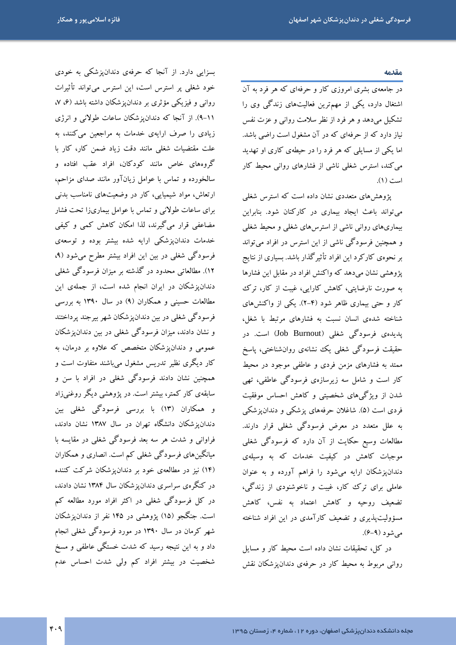#### مقدمه

در جامعهی بشری امروزی کار و حرفهای که هر فرد به آن اشتغال دارد، یکی از مهمترین فعالیتهای زندگی وی را تشکیل میدهد و هر فرد از نظر سلامت روانی و عزت نفس نیاز دارد که از حرفهای که در آن مشغول است راضی باشد. اما یکی از مسایلی که هر فرد را در حیطهی کاری او تهدید می کند، استرس شغلی ناشی از فشارهای روانی محیط کار است (١).

پژوهشهای متعددی نشان داده است که استرس شغلی می تواند باعث ایجاد بیماری در کارکنان شود. بنابراین بیماریهای روانی ناشی از استرسهای شغلی و محیط شغلی و همچنین فرسودگی ناشی از این استرس در افراد می تواند بر نحوهی کارکرد این افراد تأثیرگذار باشد. بسیاری از نتایج یژوهشی نشان میدهد که واکنش افراد در مقابل این فشارها به صورت نارضایتی، کاهش کارایی، غیبت از کار، ترک کار و حتی بیماری ظاهر شود (۴-۲). یکی از واکنشهای شناخته شدهی انسان نسبت به فشارهای مرتبط با شغل، یدیدهی فرسودگی شغلی (Job Burnout) است. در حقیقت فرسودگی شغلی یک نشانهی روانشناختی، پاسخ ممتد به فشارهای مزمن فردی و عاطفی موجود در محیط کار است و شامل سه زیرسازهی فرسودگی عاطفی، تھی شدن از ویژگیهای شخصیتی و کاهش احساس موفقیت فردی است (۵). شاغلان حرفههای پزشکی و دندانپزشکی به علل متعدد در معرض فرسودگی شغلی قرار دارند. مطالعات وسیع حکایت از آن دارد که فرسودگی شغلی موجبات کاهش در کیفیت خدمات که به وسیلهی دندانپزشکان ارایه میشود را فراهم آورده و به عنوان عاملي براي ترک کار، غيبت و ناخوشنودي از زندگي، تضعیف روحیه و کاهش اعتماد به نفس، کاهش مسؤولیتپذیری و تضعیف کارآمدی در این افراد شناخته  $(\theta - \theta)$  مي شو د

در کا,، تحقیقات نشان داده است محیط کار و مسایل روانی مربوط به محیط کار در حرفهی دندان یزشکان نقش

بسزایی دارد. از آنجا که حرفهی دندانپزشکی به خودی خود شغلی پر استرس است، این استرس میتواند تأثیرات روانی و فیزیکی مؤثری بر دندانپزشکان داشته باشد (۶، ۷، ۰۱۱–۹). از آنجا که دندانپزشکان ساعات طولان<sub>ی</sub> و انرژی زیادی را صرف ارایهی خدمات به مراجعین میکنند، به علت مقتضیات شغلی مانند دقت زیاد ضمن کار، کار با گروههای خاص مانند کودکان، افراد عقب افتاده و سالخورده و تماس با عوامل زیانآور مانند صدای مزاحم، ارتعاش، مواد شیمیایی، کار در وضعیتهای نامناسب بدنی برای ساعات طولانی و تماس با عوامل بیماریزا تحت فشار مضاعفی قرار میگیرند، لذا امکان کاهش کمی و کیفی خدمات دندانپزشکی ارایه شده بیشتر بوده و توسعهی فرسودگی شغلی در بین این افراد بیشتر مطرح می شود (۹، ۱۲). مطالعاتی محدود در گذشته بر میزان فرسودگی شغلی دندانپزشکان در ایران انجام شده است، از جملهی این مطالعات حسینی و همکاران (۹) در سال ۱۳۹۰ به بررسی فرسودگی شغلی در بین دندانپزشکان شهر بیرجند پرداختند و نشان دادند، میزان فرسودگی شغلی در بین دندان یز شکان عمومی و دندانپزشکان متخصص که علاوه بر درمان، به کار دیگری نظیر تدریس مشغول میباشند متفاوت است و همچنین نشان دادند فرسودگی شغلی در افراد با سن و سابقهی کار کمتر، بیشتر است. در پژوهشی دیگر روغنیزاد و همکاران (۱۳) با بررسی فرسودگی شغلی بین دندان یز شکان دانشگاه تهران در سال ۱۳۸۷ نشان دادند، فراوانی و شدت هر سه بعد فرسودگی شغلی در مقایسه با میانگینهای فرسودگی شغلی کم است. انصاری و همکاران (۱۴) نیز در مطالعهی خود بر دندانپزشکان شرکت کننده در کنگرهی سراسری دندانپزشکان سال ۱۳۸۴ نشان دادند، در کل فرسودگی شغلی در اکثر افراد مورد مطالعه کم است. جنگجو (۱۵) یژوهشی در ۱۴۵ نفر از دندان، شکان شهر کرمان در سال ۱۳۹۰ در مورد فرسودگی شغلی انجام داد و به این نتیجه رسید که شدت خستگی عاطفی و مسخ شخصیت در بیشتر افراد کم ولی شدت احساس عدم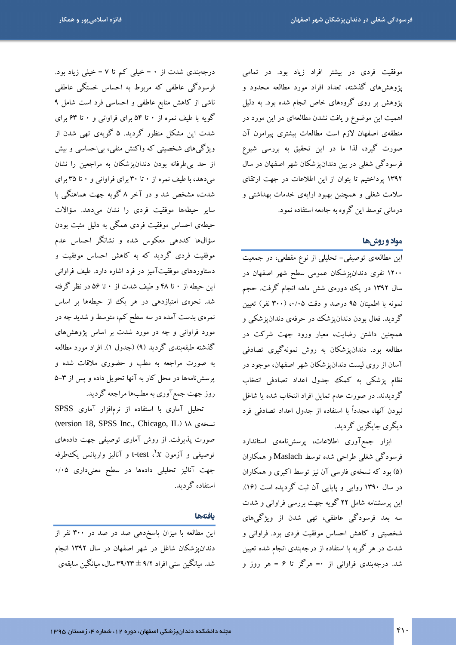موفقیت فردی در بیشتر افراد زیاد بود. در تمامی پژوهش های گذشته، تعداد افراد مورد مطالعه محدود و پژوهش بر روی گروههای خاص انجام شده بود. به دلیل اهمیت این موضوع و یافت نشدن مطالعهای در این مورد در منطقهی اصفهان لازم است مطالعات بیشتری پیرامون آن صورت گیرد، لذا ما در این تحقیق به بررسی شیوع فرسودگی شغلی در بین دندانپزشکان شهر اصفهان در سال ۱۳۹۲ پرداختیم تا بتوان از این اطلاعات در جهت ارتقای سلامت شغلی و همچنین بهبود ارایهی خدمات بهداشتی و درماني توسط اين گروه به جامعه استفاده نمود.

### مواد و روشها

این مطالعهی توصیفی- تحلیلی از نوع مقطعی، در جمعیت ۱۲۰۰ نفری دندانپزشکان عمومی سطح شهر اصفهان در سال ۱۳۹۲ در یک دورهی شش ماهه انجام گرفت. حجم نمونه با اطمینان ۹۵ درصد و دقت ۰/۰۵، (۳۰۰ نفر) تعیین گردید. فعال بودن دندانپزشک در حرفهی دندانپزشکی و همچنین داشتن رضایت، معیار ورود جهت شرکت در مطالعه بود. دندانیزشکان به روش نمونهگیری تصادفی آسان از روی لیست دندانپزشکان شهر اصفهان، موجود در نظام پزشکی به کمک جدول اعداد تصادفی انتخاب گردیدند. در صورت عدم تمایل افراد انتخاب شده یا شاغل نبودن آنها، مجدداً با استفاده از جدول اعداد تصادفی فرد دىگرى جاىگزىن گردىد.

ابزار جمع آوری اطلاعات، پرسشنامهی استاندارد فرسودگی شغلی طراحی شده توسط Maslach و همکاران (۵) بود که نسخهی فارسی آن نیز توسط اکبری و همکاران در سال ۱۳۹۰ روایی و پایایی آن ثبت گردیده است (۱۶). این پرسشنامه شامل ۲۲ گویه جهت بررسی فراوانی و شدت سه بعد فرسودگی عاطفی، تھی شدن از ویژگیهای .<br>شخصیتی و کاهش احساس موفقیت فردی بود. فراوانی و شدت در هر گویه با استفاده از درجهبندی انجام شده تعیین شد. درجهبندی فراوانی از ۰= هرگز تا ۶ = هر روز و

درجهبندی شدت از ۰ = خیلی کم تا ۷ = خیلی زیاد بود. فرسودگی عاطفی که مربوط به احساس خستگی عاطفی ناشی از کاهش منابع عاطفی و احساسی فرد است شامل ۹ گویه با طیف نمره از ۰ تا ۵۴ برای فراوانی و ۰ تا ۶۳ برای شدت این مشکل منظور گردید. ۵ گویهی تهی شدن از ویژگیهای شخصیتی که واکنش منفی، بی|حساسی و بیش از حد بی طرفانه بودن دندانپزشکان به مراجعین را نشان می دهد، با طیف نمره از ۳۰ تا ۳۰ برای فراوانی و ۰ تا ۳۵ برای شدت، مشخص شد و در آخر ۸ گویه جهت هماهنگی با سایر حیطهها موفقیت فردی را نشان می<mark>دهد. سؤالات</mark> حیطهی احساس موفقیت فردی همگی به دلیل مثبت بودن سؤالها کددهی معکوس شده و نشانگر احساس عدم موفقیت فردی گردید که به کاهش احساس موفقیت و دستاوردهای موفقیتآمیز در فرد اشاره دارد. طیف فراوانی این حیطه از ۰ تا ۴۸ و طیف شدت از ۰ تا ۵۶ در نظر گرفته شد. نحوهی امتیازدهی در هر یک از حیطهها بر اساس .<br>نمره ی بدست آمده در سه سطح کم، متوسط و شدید چه در مورد فراوانی و چه در مورد شدت بر اساس یژوهش های گذشته طبقهبندی گردید (۹) (جدول ۱). افراد مورد مطالعه به صورت مراجعه به مطب و حضوری ملاقات شده و پرسشنامهها در محل کار به آنها تحویل داده و پس از ۳–۵ روز جهت جمع آوري به مطبها مراجعه گرديد.

تحلیل آماری با استفاده از نرمافزار آماری SPSS (version 18, SPSS Inc., Chicago, IL) ١٨ ( صورت پذیرفت. از روش آماری توصیفی جهت دادههای توصیفی و آزمون x′، t-test و آنالیز واریانس یکءطرفه جهت آنالیز تحلیلی دادهها در سطح معنیداری ۰/۰۵ استفاده گر دبد.

#### بافتهها

این مطالعه با میزان پاسخدهی صد در صد در ۳۰۰ نفر از دندان یز شکان شاغل در شهر اصفهان در سال ۱۳۹۲ انجام شد. میانگین سنی افراد ۹/۲ ± ۳۹/۲۳ سال، میانگین سابقهی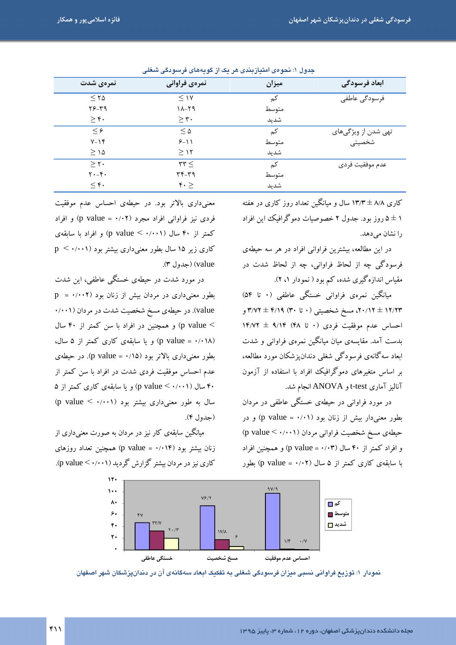| نمرهى شدت             | نمرهي فراواني             | ميزان | ابعاد فرسودگی       |
|-----------------------|---------------------------|-------|---------------------|
| $\leq$ 70             | $\leq$ 1Y                 | كم    | فرسودگی عاطفی       |
| ۳۶-۳۹                 | $11 - 59$                 | متوسط |                     |
| $\geq r$ .            | $\geq r$ .                | شديد  |                     |
| $\leq$ $\epsilon$     | $\leq \Delta$             | کم    | تھی شدن از ویژگیهای |
| $Y-Y$                 | $9 - 11$                  | متوسط | شخصیتی              |
| $\geq$ 14             | $\geq$ 12                 | شديد  |                     |
| > 7.                  | $\tau$ $\tau$             | كم    | عدم موفقيت فردى     |
| $Y - f$               | ۳۴-۳۹                     | متوسط |                     |
| $\leq \mathfrak{r}$ . | $\mathfrak{r} \cdot \geq$ | شدید  |                     |

جدول ۱: نحوهی امتیازبندی هر یک از گویههای فرسودگی شغلی

کاری ۸/۸ ± ۱۳/۳ سال و میانگین تعداد روز کاری در هفته ۱ ± ۵ روز بود. جدول ۲ خصوصیات دموگرافیک این افراد را نشان مے دھد.

در این مطالعه، بیشترین فراوانی افراد در هر سه حیطهی فرسودگی چه از لحاظ فراوانی، چه از لحاظ شدت در مقیاس اندازهگیری شده، کم بود ( نمودار ۱، ۲).

میانگین نمرهی فراوانی خستگی عاطفی (۰ تا ۵۴) ۱۲/۲۳ ± ۲۰/۱۲، مسخ شخصیتی (۰ تا ۴۰/۱۹ ± ۳/۷۲ و احساس عدم موفقیت فردی (۰ تا ۴۸) ۱۴/۷۲ ± ۱۴/۷۲ بدست آمد. مقایسهی میان میانگین نمرهی فراوانی و شدت ابعاد سه گانه ي فرسو دگي شغلې دندان يز شکان موړد مطالعه، بر اساس متغیرهای دموگرافیک افراد با استفاده از آزمون آنالیز آماری t-testو ANOVA انجام شد.

در مورد فراوانی در حیطهی خستگی عاطفی در مردان بطور معنیدار بیش از زنان بود (p value = ۰/۰۱) و در حیطهی مسخ شخصیت فراوانی مردان (p value < ./...) و افراد کمتر از ۴۰ سال (۱۰۳ = p value) و همچنین افراد با سابقهی کاری کمتر از ۵ سال (p value = ۰/۰۲) بطور

معنیداری بالاتر بود. در حیطهی احساس عدم موفقیت فردی نیز فراوانی افراد مجرد (p value = ۰/۰۲) و افراد کمتر از ۴۰ سال (p value < ۰/۰۰۱) و افراد با سابقهی  $p \leq (1 + 1)$ کاری زیر ۱۵ سال بطور معنیداری بیشتر بود ( $\star$  حدول) (value

در مورد شدت در حیطهی خستگی عاطفی، این شدت  $p = \cdot / \cdot \cdot \cdot$ بطور معنیداری در مردان بیش از زنان بود value). در حیطهی مسخ شخصیت شدت در مردان (۰/۰۰۱ > p value) و همچنین در افراد با سن کمتر از ۴۰ سال (p value = ۰/۰۱۸) و یا سابقهی کاری کمتر از ۵ سال، بطور معنی داری بالاتر بود (۰/۱۵ = p value). در حیطهی عدم احساس موفقیت فردی شدت در افراد با سن کمتر از ۴۰ سال (p value < ۰/۰۰۱) و یا سابقهی کاری کمتر از ۵ سال به طور معنىدارى بيشتر بود (p value <  $\cdot$ / (حدول ۴).

میانگین سابقهی کار نیز در مردان به صورت معنیداری از زنان بیشتر بود (۱۴/۰۱۴ = p value) همچنین تعداد روزهای کاری نیز در مردان بیشتر گزارش گردید (p value < ۰/۰۰۱).



نمودار ۱: توزیع فراوانی نسبی میزان فرسودگی شغلی به تفکیک ابعاد سهگانهی آن در دندانپزشکان شهر اصفهان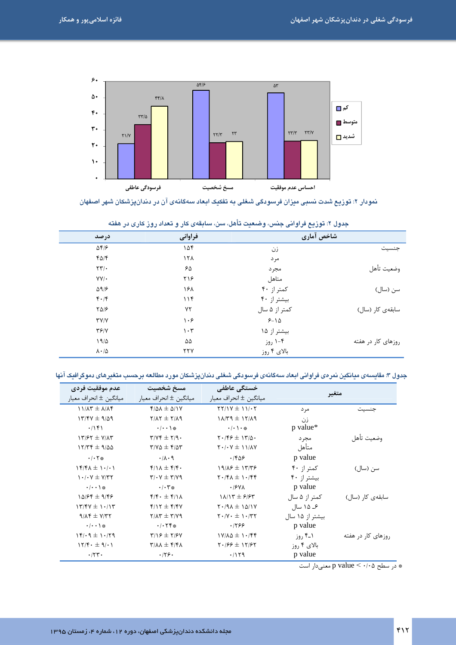

.<br>دمودار ۲: توزیع شدت دسبی میزان فرسودگی شعلی به تفکیک ابعاد سهگادهی آن در دندانپزشکان شهر اصفهان

|                          | -----             | $\sim$ $\sim$ $\sim$ $\sim$ $\sim$ | $  -$              |
|--------------------------|-------------------|------------------------------------|--------------------|
| در صد                    | فراواني           | شاخص آماری                         |                    |
| $\Delta f/\epsilon$      | ۱۵۴               | زن                                 | جنسيت              |
| $f\Delta/f$              | 15 <sub>A</sub>   | مرد                                |                    |
| $\tau\tau/\tau$          | ۶۵                | مجرد                               | وضعيت تأهل         |
| $YY/\cdot$               | ۲۱۶               | متاهل                              |                    |
| $\Delta$ 9/ $\epsilon$   | ۱۶۸               | کمتر از ۴۰                         | سن (سال)           |
| $f \cdot / f$            | 11f               | بیشتر از ۴۰                        |                    |
| $Y\Delta/F$              | ٧٢                | کمتر از ۵ سال                      | سابقەي كار (سال)   |
| YY/Y                     | ۱۰۶               | $9 - 10$                           |                    |
| T5/Y                     | $\eta \cdot \tau$ | بیشتر از ۱۵                        |                    |
| 19/2                     | ۵۵                | ۰-۴ روز                            | روزهای کار در هفته |
| $\lambda \cdot / \Delta$ | ٢٢٧               | بالای ۴ روز                        |                    |

|  |  | جدول ۲: توزیع فراوانی جنس، وضعیت تأهل، سن، سابقهی کار و تعداد روز کاری در هفته |  |  |
|--|--|--------------------------------------------------------------------------------|--|--|
|  |  |                                                                                |  |  |

جدول ۳: مقایسهی میانگین نمرهی فراوانی ابعاد سهگانهی فرسودگی شغلی دندانپزشکان مورد مطالعه برحسب متغیرهای دموگرافیک آنها

| عدم موفقيت فردي<br>ميانگين ± انحراف معيار                   | مسخ شخصيت<br>ميانگين ± انحراف معيار                   | خستگی عاطفی<br>ميانگين ± انحراف معيار    | متغير           |                                |
|-------------------------------------------------------------|-------------------------------------------------------|------------------------------------------|-----------------|--------------------------------|
| $11/\lambda$ ۳ ± $\lambda/\lambda$ ۴                        | $f/\Delta\lambda \pm \Delta/1V$                       | $YY/IV \pm 11/17$                        | مر د            | حنسيت                          |
| $17/54 \pm 9/29$                                            | $Y/\lambda Y \pm Y/\lambda$ 9                         | $1\lambda/T9 \pm 17/\lambda9$            | زن              |                                |
| .7981                                                       | $\cdot/\cdot\cdot$ \ $\ast$                           | $\cdot/\cdot \setminus \cdot$ *          | p value*        |                                |
| $17/57 \pm V/47$                                            | $\Upsilon/\Upsilon \pm \Upsilon/9$                    | $Y \cdot   Y \in \pm Y   \Delta$ .       | مجر د           | وضعيت تأهل                     |
| $15776 \pm 900$                                             | $\Gamma/V\Delta \pm \Gamma/\Delta\Gamma$              | $Y \cdot$ / $Y \pm 11$ / $AY$            | متأهل           |                                |
| $\cdot$ / $\cdot$ $\uparrow$ $\ast$                         | $\cdot/\lambda\cdot$ 9                                | ۱۴۵۶                                     | p value         |                                |
| $15/7$ $+ 1.1$                                              | $f/\lambda \pm f/f$ .                                 | $19/19 \pm 17/19$                        | کمتر از ۴۰      | سن (سال)                       |
| $\cdot$ / $\cdot$ $\vee$ $\pm$ $\vee$ $\uparrow$ $\uparrow$ | $\mathbf{y}/\mathbf{y} \pm \mathbf{y}/\mathbf{y}$     | $\gamma \cdot 15 \times 10^{-15}$        | بیشتر از ۴۰     |                                |
| $\cdot/\cdot\cdot$ \ $\ast$                                 | $\cdot/\cdot7$ *                                      | $\cdot$ /۶۷۸                             | p value         |                                |
| $10/55 \pm 9/55$                                            | $f/f \cdot \pm f/\lambda$                             | $1\lambda/17 \pm 9/97$                   | کمتر از ۵ سال   | سابقەي كار (سال)               |
| $17/FV \pm 1.17$                                            | $f/Y \pm f/Y$                                         | $Y \cdot 191 + 1011Y$                    | ۶ـ ۱۵ سال       |                                |
| $9/Nf \pm V/77$                                             | $\gamma/\gamma \pm \gamma/\gamma$                     | $Y \cdot / Y \cdot \pm 1 \cdot / \tau Y$ | بیشتر از ۱۵ سال |                                |
| $\cdot/\cdot\cdot$ \ $\ast$                                 | $\cdot$ / $\cdot$ $\uparrow$ $\uparrow$ $\ast$        | .1999                                    | p value         |                                |
| $15/19 \pm 1.79$                                            | $\Gamma/\Gamma$ $\neq$ $\Gamma$ / $\epsilon$ $\gamma$ | $1Y/\lambda\Delta \pm 1.75$              | ۱_۴ روز         | <sub>ر</sub> وزهای کار در هفته |
| $15/F \cdot \pm 9/0.1$                                      | $\mathbf{r}/\mathbf{v}$ $\pm$ $\mathbf{r}/\mathbf{v}$ | $Y \cdot 199 \pm 11197$                  | بالای ۴ روز     |                                |
| $\cdot$ /٢٣ $\cdot$                                         | .179.                                                 | .1119                                    | p value         |                                |

\* در سطح p value < ٠/٠٥ معنىدار است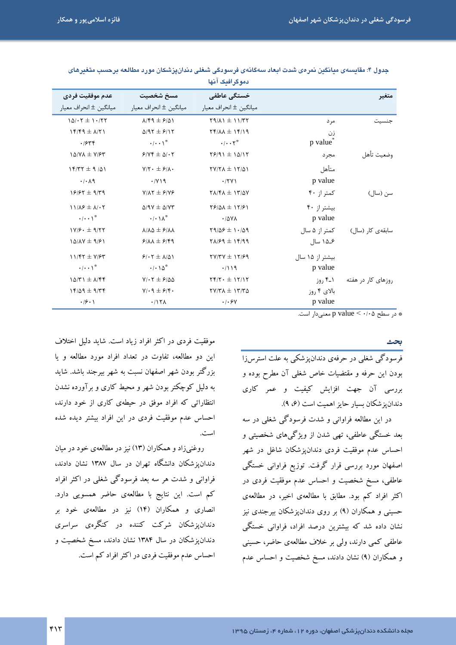|                                   |                                                     | دموگرافیک آنها                                                 |                      |                    |
|-----------------------------------|-----------------------------------------------------|----------------------------------------------------------------|----------------------|--------------------|
| عدم موفقيت فردي                   | مسخ شخصيت                                           | خستگی عاطفی                                                    |                      | متغير              |
| ميانگين ± انحراف معيار            | ميانگين ± انحراف معيار                              | ميانگين ± انحراف معيار                                         |                      |                    |
| $10/-7 \pm 1.777$                 | $\lambda$ /۴۹ $\pm$ ۶/۵۱                            | $Y9/\lambda$ $1 \pm 11/\tau$                                   | مر د                 | حنسىت              |
| $15/59 \pm \Lambda$ /             | $\Delta$ /97 ± $\epsilon$ /17                       | $Yf/\lambda\lambda \pm Yf/\lambda$                             | زن                   |                    |
| .7546                             | $\cdot/\cdot\cdot$ \*                               | $\cdot$ / $\cdot$ $\cdot$ $\tau$ <sup>*</sup>                  | p value <sup>®</sup> |                    |
| $1\Delta/Y\Lambda \pm Y/\gamma Y$ | $9/5 + \Delta$                                      | $Y9/91 \pm 10/17$                                              | مجر د                | وضعيت تأهل         |
| $15/77 \pm 9/41$                  | $Y/Y \cdot \pm \frac{\epsilon}{\lambda}$            | $TY/Y\Lambda \pm Y/\Delta$                                     | متأهل                |                    |
| $\cdot$ / $\cdot$ $\wedge$ 9      | $\cdot$ / Y \ 9                                     | .77Y                                                           | p value              |                    |
| $19/97 \pm 9/79$                  | $Y/AY \pm 9/YP$                                     | $Y\Lambda/Y\Lambda \pm Y' \Delta Y$                            | کمتر از ۴۰           | سن (سال)           |
| $11/A$ $\neq$ $A/\cdot$ $\tau$    | $\Delta$ /9Y $\pm$ $\Delta$ /YY                     | $Y$ $/ \Delta \Lambda \pm Y$                                   | بیشتر از ۴۰          |                    |
| $\cdot/\cdot\cdot$ \*             | $\cdot/\cdot\setminus\wedge^*$                      | $\cdot$ / $\Delta$ YA                                          | p value              |                    |
| $1Y/F. \pm 9/77$                  | $\lambda/\lambda\Delta \pm \epsilon/\lambda\lambda$ | $Y9/29 \pm 1.409$                                              | کمتر از ۵ سال        | سابقەي كار (سال)   |
| $10/N + 9/81$                     | $9/AA \pm 9/99$                                     | $Y\Lambda/F9 \pm 1999$                                         | ۱۵_۶ سال             |                    |
| $11/57 \pm 1/57$                  | $9.57 \pm \frac{\lambda}{\Delta}$                   | $TY/TY \pm 11/99$                                              | بیشتر از ۱۵ سال      |                    |
| $\cdot$   $\cdot$ \*              | $\cdot$   $\wedge$ $\wedge$ $\uparrow$              | .7119                                                          | p value              |                    |
| $1\Delta/T1 \pm \Lambda/Tf$       | $Y/\cdot Y = 5/20$                                  | $\Upsilon f/\Upsilon \cdot \pm 1\Upsilon/1\Upsilon$            | ۱_۴ روز              | روزهای کار در هفته |
| $15/29 \pm 9/79$                  | $Y/\cdot \eta \pm \frac{\epsilon}{\gamma}$          | $\gamma \gamma/\gamma \Lambda \pm \gamma \gamma/\gamma \Delta$ | بالای ۴ روز          |                    |
| $\cdot$ /9 $\cdot$ )              | .117 <sub>A</sub>                                   | .1.54                                                          | p value              |                    |

جدول ۴: مقايسه ى ميانگين نمر مى شدت ابعاد سەگانەى فرسودگى شغلى دندان يزشكان مورد مطالعه برحسب متغيرهاى

\* در سطح p value < ٠/٠٥ معنىدار است.

بحث

فرسودگی شغلی در حرفهی دندان یزشکی به علت استرس زا بودن این حرفه و مقتضیات خاص شغلبی آن مطرح بوده و بررسی آن جهت افزایش کیفیت و عمر کاری دندان يز شكان سبار حايز اهميت است (۶، ۹).

در این مطالعه فراوانی و شدت فرسودگی شغلی در سه بعد خستگی عاطفی، تھی شدن از ویژگیهای شخصیتی و احساس عدم موفقیت فردی دندانپزشکان شاغل در شهر اصفهان مورد بررسی قرار گرفت. توزیع فراوانی خستگی عاطفی، مسخ شخصیت و احساس عدم موفقیت فردی در اکثر افراد کم بود. مطابق با مطالعهی اخیر، در مطالعهی حسینی و همکاران (۹) بر روی دندانپزشکان بیرجندی نیز نشان داده شد که بیشترین درصد افراد، فراوانی خستگی عاطفی کمی دارند، ولی بر خلاف مطالعهی حاضر، حسینی و همکاران (۹) نشان دادند، مسخ شخصیت و احساس عدم

موفقیت فردی در اکثر افراد زیاد است. شاید دلیل اختلاف این دو مطالعه، تفاوت در تعداد افراد مورد مطالعه و یا بزرگتر بودن شهر اصفهان نسبت به شهر بیرجند باشد. شاید به دلیل کوچکتر بودن شهر و محیط کاری و برآورده نشدن انتظاراتی که افراد موفق در حیطهی کاری از خود دارند، احساس عدم موفقیت فردی در این افراد بیشتر دیده شده است.

روغنیزاد و همکاران (۱۳) نیز در مطالعهی خود در میان دندانپزشکان دانشگاه تهران در سال ۱۳۸۷ نشان دادند، فراوانی و شدت هر سه بعد فرسودگی شغلی در اکثر افراد کم است. این نتایج با مطالعهی حاضر همسویی دارد. انصاری و همکاران (۱۴) نیز در مطالعهی خود بر دندانپزشکان شرکت کننده در کنگرهی سراسری دندانپزشکان در سال ۱۳۸۴ نشان دادند، مسخ شخصیت و احساس عدم موفقیت فردی در اکثر افراد کم است.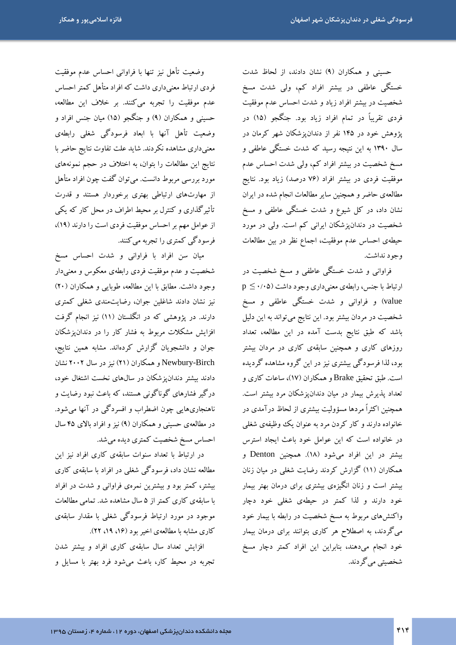حسینی و همکاران (۹) نشان دادند، از لحاظ شدت خستگی عاطفی در بیشتر افراد کم، ولی شدت مسخ شخصیت در بیشتر افراد زیاد و شدت احساس عدم موفقیت فردی تقریباً در تمام افراد زیاد بود. جنگجو (۱۵) در پژوهش خود در ۱۴۵ نفر از دندانپزشکان شهر کرمان در سال ۱۳۹۰ به این نتیجه رسید که شدت خستگی عاطفی و مسخ شخصیت در بیشتر افراد کم، ولی شدت احساس عدم موفقیت فردی در بیشتر افراد (۷۶ درصد) زیاد بود. نتایج مطالعهى حاضر و همچنين ساير مطالعات انجام شده در ايران نشان داد، در کل شیوع و شدت خستگی عاطفی و مسخ شخصیت در دندانپزشکان ایرانی کم است. ولی در مورد حيطهي احساس عدم موفقيت، اجماع نظر در بين مطالعات وجود نداشت.

فراوانی و شدت خستگی عاطفی و مسخ شخصیت در  $p \leq \cdot$ ارتباط با جنس، رابطهی معنیداری وجود داشت (۰/۰۵ $p \leq$ value) و فراوانی و شدت خستگی عاطفی و مسخ شخصیت در مردان بیشتر بود. این نتایج میتواند به این دلیل باشد که طبق نتایج بدست آمده در این مطالعه، تعداد روزهای کاری و همچنین سابقهی کاری در مردان بیشتر بود، لذا فرسودگی بیشتری نیز در این گروه مشاهده گردیده است. طبق تحقیق Brake و همکاران (۱۷)، ساعات کاری و تعداد پذیرش بیمار در میان دندانپزشکان مرد بیشتر است. همچنین اکثراً مردها مسؤولیت بیشتری از لحاظ درآمدی در خانواده دارند و کار کردن مرد به عنوان یک وظیفهی شغلی در خانواده است که این عوامل خود باعث ایجاد استرس بیشتر در این افراد می شود (۱۸). همچنین Denton و همکاران (۱۱) گزارش کردند رضایت شغلی در میان زنان بیشتر است و زنان انگیزهی بیشتری برای درمان بهتر بیمار خود دارند و لذا کمتر در حیطهی شغلی خود دچار واکنشهای مربوط به مسخ شخصیت در رابطه با بیمار خود میگردند، به اصطلاح هر کاری بتوانند برای درمان بیمار خود انجام میدهند، بنابراین این افراد کمتر دچار مسخ شخصيتي مي گر دند.

وضعيت تأهل نيز تنها با فراواني احساس عدم موفقيت فردی ارتباط معنیداری داشت که افراد متأهل کمتر احساس عدم موفقیت را تجربه میکنند. بر خلاف این مطالعه، حسینی و همکاران (۹) و جنگجو (۱۵) میان جنس افراد و وضعیت تأهل آنها با ابعاد فرسودگی شغلی رابطهی معنیداری مشاهده نکردند. شاید علت تفاوت نتایج حاضر با نتايج اين مطالعات را بتوان، به اختلاف در حجم نمونههاى مورد بررسی مربوط دانست. میتوان گفت چون افراد متأهل از مهارتهای ارتباطی بهتری برخوردار هستند و قدرت تأثیرگذاری و کنترل بر محیط اطراف در محل کار که یکی از عوامل مهم بر احساس موفقیت فردی است را دارند (۱۹)، فرسودگي کمتري را تجربه مي کنند.

میان سن افراد با فراوانی و شدت احساس مسخ شخصیت و عدم موفقیت فردی رابطهی معکوس و معنبیدار وجود داشت. مطابق با این مطالعه، طوبایی و همکاران (۲۰) نیز نشان دادند شاغلین جوان، رضایتمندی شغلی کمتری دارند. در یژوهشی که در انگلستان (۱۱) نیز انجام گرفت افزایش مشکلات مربوط به فشار کار را در دندان،یزشکان جوان و دانشجویان گزارش کردهاند. مشابه همین نتایج، Newbury-Birch و همکاران (۲۱) نیز در سال ۲۰۰۲ نشان دادند بیشتر دندان یز شکان در سال های نخست اشتغال خود، درگیر فشارهای گوناگونی هستند، که باعث نبود رضایت و ناهنجاریهایی چون اضطراب و افسردگی در آنها میشود. در مطالعهی حسینی و همکاران (۹) نیز و افراد بالای ۴۵ سال احساس مسخ شخصیت کمتری دیده می شد.

در ارتباط با تعداد سنوات سابقهی کاری افراد نیز این مطالعه نشان داد، فرسودگی شغلی در افراد با سابقهی کاری بیشتر، کمتر بود و بیشترین نمرهی فراوانی و شدت در افراد با سابقهی کاری کمتر از ۵ سال مشاهده شد. تمامی مطالعات موجود در مورد ارتباط فرسودگی شغلی با مقدار سابقهی کاری مشابه با مطالعهی اخیر بود (۱۶، ۱۹، ۲۲).

افزایش تعداد سال سابقهی کاری افراد و بیشتر شدن تجربه در محیط کار، باعث میشود فرد بهتر با مسایل و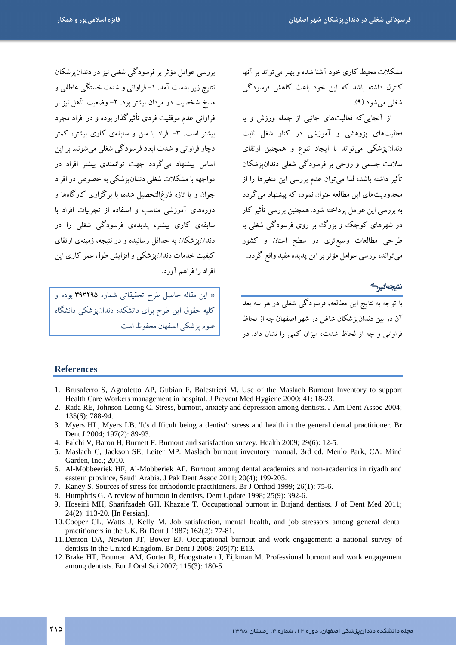یررسے عوامل مؤثر پر فرسودگے شغلے نیز در دندان یزشکان

نتايج زير بدست آمد. ١- فراواني و شدت خستگي عاطفي و

مسخ شخصیت در مردان بیشتر بود. ۲– وضعیت تأهل نیز بر

فراوانی عدم موفقیت فردی تأثیر گذار بوده و در افراد مجرد

بیشتر است. ۳- افراد با سن و سابقهی کاری بیشتر، کمتر

دچار فراوانی و شدت ابعاد فرسودگی شغلی میشوند. بر این

اساس پیشنهاد میگردد جهت توانمندی بیشتر افراد در مواجهه با مشکلات شغلبی دندان یز شکبی به خصوص در افراد

جوان و یا تازه فارغ|لتحصیل شده، با برگزاری کارگاهها و

دورههای آموزشی مناسب و استفاده از تجربیات افراد با

سابقهی کاری بیشتر، پدیدهی فرسودگی شغلی را در

دندان یز شکان به حداقل رسانبده و در نتیجه، زمینهی ارتقای کیفیت خدمات دندان پزشکی و افزایش طول عمر کاری این

\* این مقاله حاصل طرح تحقیقاتی شماره ۳۹۳۲۹۵ بوده و

کلیه حقوق این طرح برای دانشکده دندانپزشکی دانشگاه

مشکلات محبط کاری خود آشنا شده و بهتر می تواند بر آنها کنترل داشته باشد که این خود باعث کاهش فرسودگی شغلي مي شو د (۹).

از آنجایی که فعالیتهای جانبی از جمله ورزش و پا فعالیتهای یژوهشی و آموزشی در کنار شغل ثابت دندانپزشکی میتواند با ایجاد تنوع و همچنین ارتقای سلامت جسمی و روحی بر فرسودگی شغلی دندان پزشکان تأثیر داشته باشد، لذا میتوان عدم بررسی این متغیرها را از محدودیتهای این مطالعه عنوان نمود، که پیشنهاد میگردد به بررسی این عوامل پرداخته شود. همچنین بررسی تأثیر کار در شهرهای کوچک و بزرگ بر روی فرسودگی شغلی با طراحی مطالعات وسیع تری در سطح استان و کشور می تواند، بررسی عوامل مؤثر بر این پدیده مفید واقع گردد.

نتيجەگىرگ

.<br>با توجه به نتایج این مطالعه، فرسودگی شغلی در هر سه بعد آن در بین دندان یز شکان شاغل در شهر اصفهان چه از لحاظ .<br>فراوانی و چه از لحاظ شدت، میزان کمی را نشان داد. در

#### **References**

- 1. Brusaferro S, Agnoletto AP, Gubian F, Balestrieri M. Use of the Maslach Burnout Inventory to support Health Care Workers management in hospital. J Prevent Med Hygiene 2000; 41: 18-23.
- 2. Rada RE, Johnson-Leong C. Stress, burnout, anxiety and depression among dentists. J Am Dent Assoc 2004; 135(6): 788-94.
- 3. Myers HL, Myers LB. It's difficult being a dentist': stress and health in the general dental practitioner. Br Dent J 2004; 197(2): 89-93.
- 4. Falchi V, Baron H, Burnett F. Burnout and satisfaction survey. Health 2009; 29(6): 12-5.

افراد را فراهم آورد.

| علوم پزشکی اصفهان محفوظ است.

- 5. Maslach C, Jackson SE, Leiter MP. Maslach burnout inventory manual. 3rd ed. Menlo Park, CA: Mind Garden, Inc.; 2010.
- 6. Al-Mobbeeriek HF, Al-Mobberiek AF. Burnout among dental academics and non-academics in riyadh and eastern province, Saudi Arabia. J Pak Dent Assoc 2011; 20(4); 199-205.
- 7. Kaney S. Sources of stress for orthodontic practitioners. Br J Orthod 1999; 26(1): 75-6.
- 8. Humphris G. A review of burnout in dentists. Dent Update 1998; 25(9): 392-6.
- 9. Hoseini MH, Sharifzadeh GH, Khazaie T. Occupational burnout in Birjand dentists. J of Dent Med 2011; 24(2): 113-20. [In Persian].
- 10. Cooper CL, Watts J, Kelly M. Job satisfaction, mental health, and job stressors among general dental practitioners in the UK. Br Dent J 1987; 162(2): 77-81.
- 11. Denton DA, Newton JT, Bower EJ. Occupational burnout and work engagement: a national survey of dentists in the United Kingdom. Br Dent J 2008; 205(7): E13.
- 12. Brake HT, Bouman AM, Gorter R, Hoogstraten J, Eijkman M. Professional burnout and work engagement among dentists. Eur J Oral Sci 2007; 115(3): 180-5.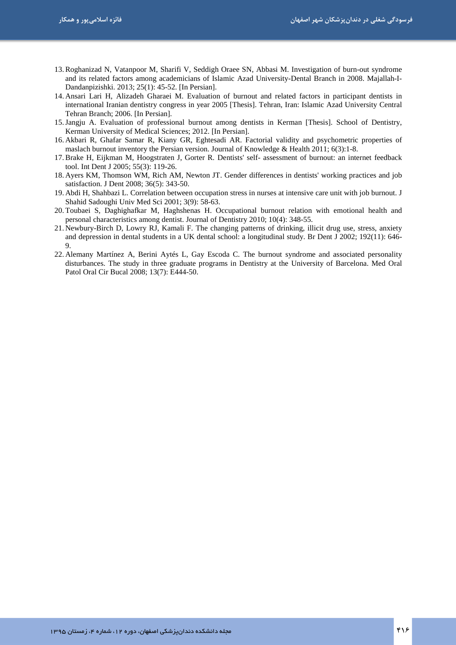- 13.Roghanizad N, Vatanpoor M, Sharifi V, Seddigh Oraee SN, Abbasi M. Investigation of burn-out syndrome and its related factors among academicians of Islamic Azad University-Dental Branch in 2008. Majallah-I-Dandanpizishki. 2013; 25(1): 45-52. [In Persian].
- 14. Ansari Lari H, Alizadeh Gharaei M. Evaluation of burnout and related factors in participant dentists in international Iranian dentistry congress in year 2005 [Thesis]. Tehran, Iran: Islamic Azad University Central Tehran Branch; 2006. [In Persian].
- 15.Jangju A. Evaluation of professional burnout among dentists in Kerman [Thesis]. School of Dentistry, Kerman University of Medical Sciences; 2012. [In Persian].
- 16. Akbari R, Ghafar Samar R, Kiany GR, Eghtesadi AR. Factorial validity and psychometric properties of maslach burnout inventory the Persian version. Journal of Knowledge & Health 2011; 6(3):1-8.
- 17.Brake H, Eijkman M, Hoogstraten J, Gorter R. Dentists' self- assessment of burnout: an internet feedback tool. Int Dent J 2005; 55(3): 119-26.
- 18. Ayers KM, Thomson WM, Rich AM, Newton JT. Gender differences in dentists' working practices and job satisfaction. J Dent 2008; 36(5): 343-50.
- 19. Abdi H, Shahbazi L. Correlation between occupation stress in nurses at intensive care unit with job burnout. J Shahid Sadoughi Univ Med Sci 2001; 3(9): 58-63.
- 20. Toubaei S, Daghighafkar M, Haghshenas H. Occupational burnout relation with emotional health and personal characteristics among dentist. Journal of Dentistry 2010; 10(4): 348-55.
- 21. Newbury-Birch D, Lowry RJ, Kamali F. The changing patterns of drinking, illicit drug use, stress, anxiety and depression in dental students in a UK dental school: a longitudinal study. Br Dent J 2002; 192(11): 646- 9.
- 22. Alemany Martínez A, Berini Aytés L, Gay Escoda C. The burnout syndrome and associated personality disturbances. The study in three graduate programs in Dentistry at the University of Barcelona. Med Oral Patol Oral Cir Bucal 2008; 13(7): E444-50.